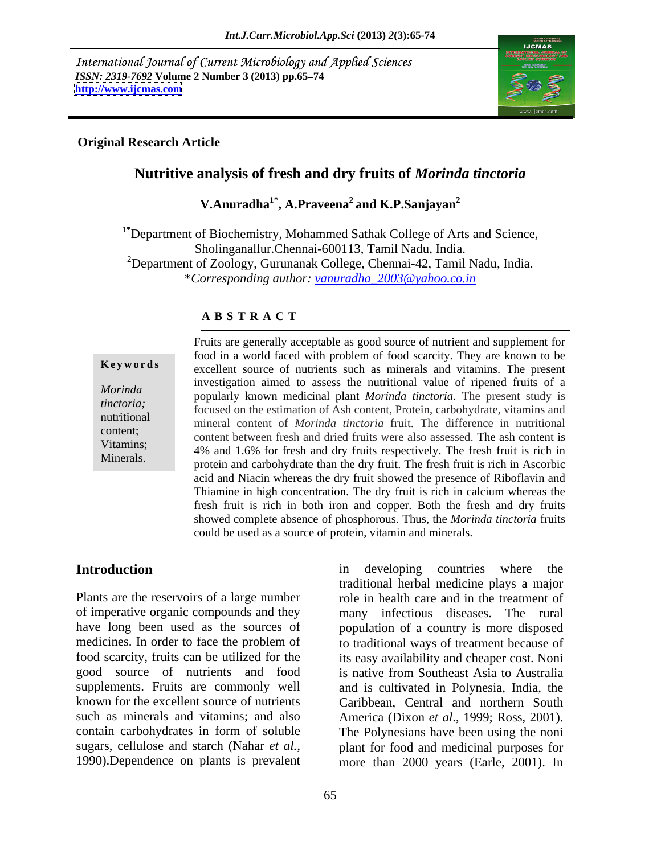International Journal of Current Microbiology and Applied Sciences *ISSN: 2319-7692 Volume 2 Number 3 (2013) pp.65–74 http://www.ijcmas.com* **<http://www.ijcmas.com>** 



### **Original Research Article**

# **Nutritive analysis of fresh and dry fruits of** *Morinda tinctoria*

**V.Anuradha1\* , A.Praveena2 and K.P.Sanjayan2**

<sup>1\*</sup>Department of Biochemistry, Mohammed Sathak College of Arts and Science, Sholinganallur.Chennai-600113, Tamil Nadu, India. <sup>2</sup>Department of Zoology, Gurunanak College, Chennai-42, Tamil Nadu, India. \**Corresponding author: vanuradha\_2003@yahoo.co.in*

### **A B S T R A C T**

**Keywords** excellent source of nutrients such as minerals and vitamins. The present *Morinda* **popularly** known medicinal plant *Morinda tinctoria*. The present study is the present study is *tinctoria;*<br>
focused on the estimation of Ash content, Protein, carbohydrate, vitamins and<br> **the extending of Ash content**, Protein, carbohydrate, vitamins and nutritional mineral content of *Morinda tinctoria* fruit. The difference in nutritional experient;<br>
content between fresh and dried fruits were also assessed. The ash content is Vitamins;<br>
4% and 1.6% for fresh and dry fruits respectively. The fresh fruit is rich in Minerals.<br>protein and carbohydrate than the dry fruit. The fresh fruit is rich in Ascorbic Fruits are generally acceptable as good source of nutrient and supplement for food in a world faced with problem of food scarcity. They are known to be investigation aimed to assess the nutritional value of ripened fruits of a acid and Niacin whereas the dry fruit showed the presence of Riboflavin and Thiamine in high concentration. The dry fruit is rich in calcium whereas the fresh fruit is rich in both iron and copper. Both the fresh and dry fruits showed complete absence of phosphorous. Thus, the *Morinda tinctoria* fruits could be used as a source of protein, vitamin and minerals.

Plants are the reservoirs of a large number only role in health care and in the treatment of of imperative organic compounds and they many infectious diseases. The rural have long been used as the sources of population of a country is more disposed medicines. In order to face the problem of to traditional ways of treatment because of food scarcity, fruits can be utilized for the its easy availability and cheaper cost. Noni good source of nutrients and food is native from Southeast Asia to Australia supplements. Fruits are commonly well and is cultivated in Polynesia, India, the known for the excellent source of nutrients Caribbean, Central and northern South such as minerals and vitamins; and also America (Dixon *et al*., 1999; Ross, 2001). contain carbohydrates in form of soluble The Polynesians have been using the noni sugars, cellulose and starch (Nahar *et al.,* plant for food and medicinal purposes for

Introduction **Introduction** in developing countries where the 1990).Dependence on plants is prevalent more than 2000 years (Earle, 2001). In in developing countries where the traditional herbal medicine plays a major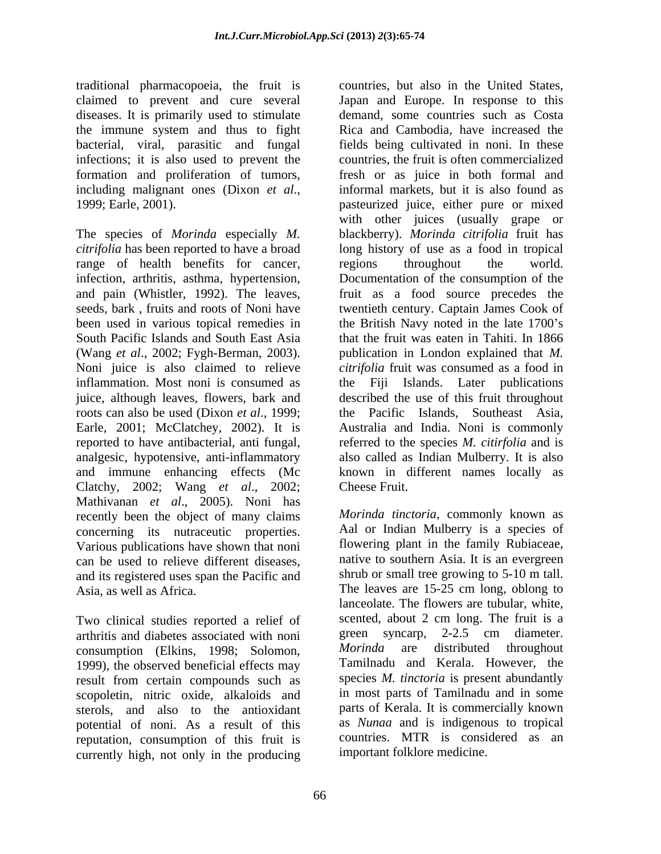traditional pharmacopoeia, the fruit is diseases. It is primarily used to stimulate the immune system and thus to fight infections; it is also used to prevent the formation and proliferation of tumors,

The species of *Morinda* especially *M.*  blackberry). *Morinda citrifolia* fruit has *citrifolia* has been reported to have a broad long history of use as a food in tropical range of health benefits for cancer, regions throughout the world. infection, arthritis, asthma, hypertension, Documentation of the consumption of the and pain (Whistler, 1992). The leaves, seeds, bark , fruits and roots of Noni have twentieth century. Captain James Cook of been used in various topical remedies in the British Navy noted in the late 1700's South Pacific Islands and South East Asia that the fruit was eaten in Tahiti. In 1866 (Wang *et al*., 2002; Fygh-Berman, 2003). Noni juice is also claimed to relieve *citrifolia* fruit was consumed as a food in inflammation. Most noni is consumed as the Fiji juice, although leaves, flowers, bark and described the use of this fruit throughout roots can also be used (Dixon *et al*., 1999; Earle, 2001; McClatchey, 2002). It is Australia and India. Noni is commonly reported to have antibacterial, anti fungal, referred to the species *M. citirfolia* and is analgesic, hypotensive, anti-inflammatory also called as Indian Mulberry. It is also and immune enhancing effects (Mc known in different names locally as Clatchy, 2002; Wang *et al*., 2002; Mathivanan *et al*., 2005). Noni has recently been the object of many claims concerning its nutraceutic properties. Aal or Indian Mulberry is a species of Various publications have shown that noni flowering plant in the family Rubiaceae, Various publications have shown that noni flowering plant in the family Rubiaceae,<br>can be used to relieve different diseases. In mative to southern Asia. It is an evergreen can be used to relieve different diseases, and its registered uses span the Pacific and Asia, as well as Africa. The leaves are 15-25 cm long, oblong to

Two clinical studies reported a relief of scented, about 2 cm long. The fruit is a arthritis and diabetes associated with noni green syncarp, 2-2.5 cm diameter. arthritis and diabetes associated with noni<br>consumption (Elkins 1998: Solomon *Morinda* are distributed throughout consumption (Elkins, 1998; Solomon, 1999), the observed beneficial effects may result from certain compounds such as<br>scopoletin, nitric oxide, alkaloids and sterols, and also to the antioxidant potential of noni. As a result of this reputation, consumption of this fruit is currently high, not only in the producing

claimed to prevent and cure several Japan and Europe. In response to this bacterial, viral, parasitic and fungal fields being cultivated in noni. In these including malignant ones (Dixon *et al.*, informal markets, but it is also found as pasteurized juice, either pure or mixed countries, but also in the United States, demand, some countries such as Costa Rica and Cambodia, have increased the countries, the fruit is often commercialized fresh or as juice in both formal and informal markets, but it is also found as pasteurized juice, either pure or mixed with other juices (usually grape or regions throughout the world. fruit as a food source precedes the publication in London explained that *M.*  Islands. Later publications the Pacific Islands, Southeast Asia, Cheese Fruit.

scopoletin, nitric oxide, alkaloids and in most parts of Tamilnadu and in some *Morinda tinctoria*, commonly known as Aal or Indian Mulberry is a species of flowering plant in the family Rubiaceae, native to southern Asia. It is an evergreen shrub or small tree growing to 5-10 m tall. The leaves are 15-25 cm long, oblong to lanceolate. The flowers are tubular, white, scented, about 2 cm long. The fruit is a green syncarp, 2-2.5 cm diameter. *Morinda* are distributed Tamilnadu and Kerala. However, the species *M. tinctoria* is present abundantly parts of Kerala. It is commercially known as *Nunaa* and is indigenous to tropical countries. MTR is considered as an important folklore medicine.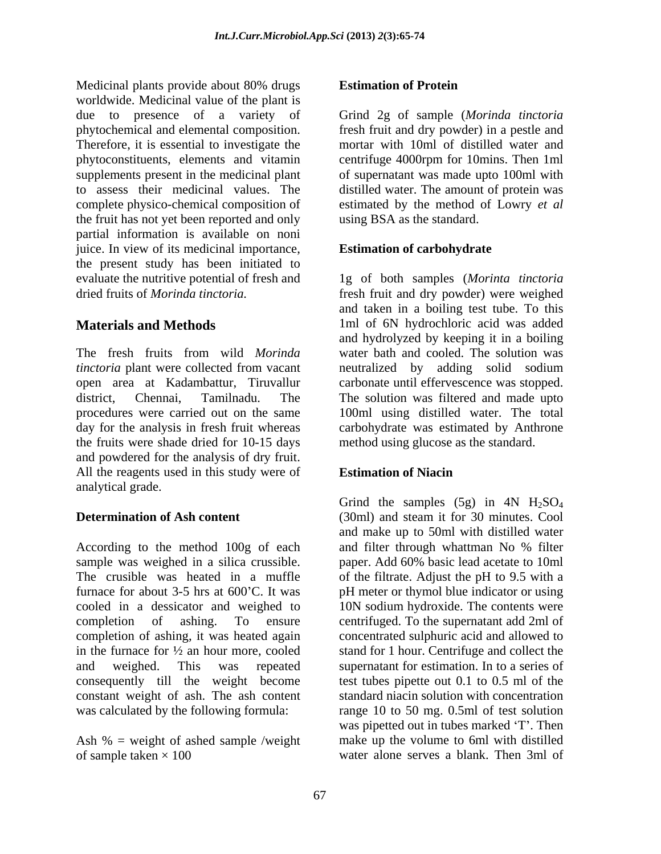Medicinal plants provide about 80% drugs **Estimation of Protein** worldwide. Medicinal value of the plant is due to presence of a variety of Grind 2g of sample (*Morinda tinctoria* phytochemical and elemental composition. fresh fruit and dry powder) in a pestle and Therefore, it is essential to investigate the phytoconstituents, elements and vitamin centrifuge 4000rpm for 10mins. Then 1ml supplements present in the medicinal plant of supernatant was made upto 100ml with to assess their medicinal values. The distilled water. The amount of protein was complete physico-chemical composition of estimated by the method of Lowry *et al* the fruit has not yet been reported and only partial information is available on noni juice. In view of its medicinal importance, the present study has been initiated to evaluate the nutritive potential of fresh and 1g of both samples (*Morinta tinctoria*

The fresh fruits from wild *Morinda*  water bath and cooled. The solution was *tinctoria* plant were collected from vacant and neutralized by adding solid sodium open area at Kadambattur, Tiruvallur carbonate until effervescence was stopped. district, Chennai, Tamilnadu. The The solution was filtered and made upto procedures were carried out on the same 100ml using distilled water. The total day for the analysis in fresh fruit whereas carbohydrate was estimated by Anthrone the fruits were shade dried for 10-15 days and powdered for the analysis of dry fruit. All the reagents used in this study were of analytical grade.

According to the method 100g of each and filter through whattman No % filter sample was weighed in a silica crussible. paper. Add 60% basic lead acetate to 10ml The crusible was heated in a muffle of the filtrate. Adjust the pH to 9.5 with a furnace for about 3-5 hrs at 600<sup>o</sup>C. It was pH meter or thymol blue indicator or using cooled in a dessicator and weighed to 10N sodium hydroxide. The contents were completion of ashing. To ensure centrifuged. To the supernatant add 2ml of completion of ashing, it was heated again concentrated sulphuric acid and allowed to in the furnace for ½ an hour more, cooled stand for 1 hour. Centrifuge and collect the and weighed. This was repeated supernatant for estimation. In to a series of consequently till the weight become test tubes pipette out 0.1 to 0.5 ml of the constant weight of ash. The ash content was calculated by the following formula: range 10 to 50 mg. 0.5ml of test solution

Ash  $% =$  weight of ashed sample /weight of sample taken × 100 water alone serves a blank. Then 3ml of

### **Estimation of Protein**

mortar with 10ml of distilled water and using BSA as the standard.

### **Estimation of carbohydrate**

dried fruits of *Morinda tinctoria.* fresh fruit and dry powder) were weighed **Materials and Methods** 1ml of 6N hydrochloric acid was added and taken in a boiling test tube. To this and hydrolyzed by keeping it in a boiling neutralized by adding solid sodium method using glucose as the standard.

### **Estimation of Niacin**

**Determination of Ash content** (30ml) and steam it for 30 minutes. Cool Grind the samples  $(5g)$  in 4N H<sub>2</sub>SO<sub>4</sub> and make up to 50ml with distilled water and filter through whattman No % filter standard niacin solution with concentration was pipetted out in tubes marked 'T'. Then make up the volume to 6ml with distilled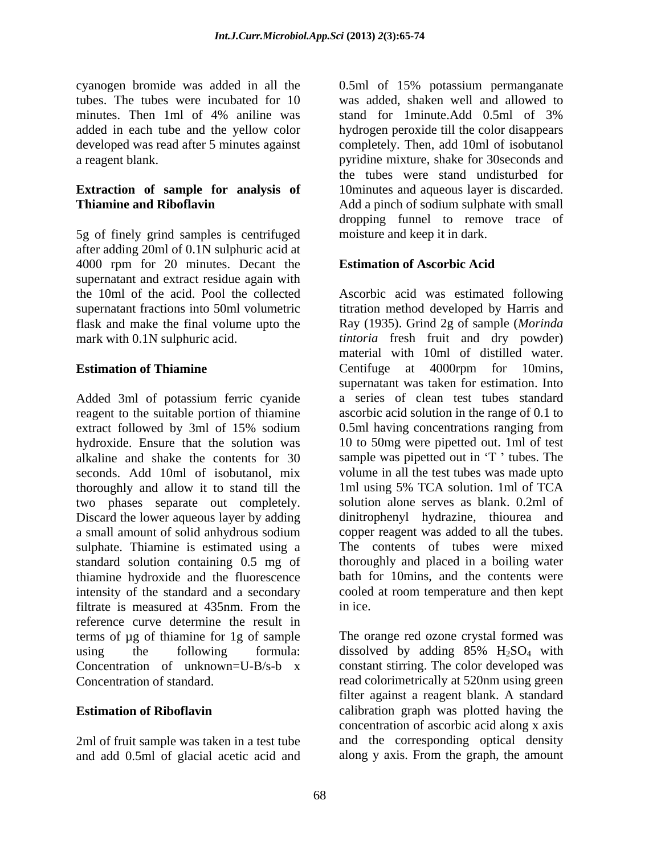tubes. The tubes were incubated for 10

5g of finely grind samples is centrifuged after adding 20ml of 0.1N sulphuric acid at 4000 rpm for 20 minutes. Decant the **Estimation of Ascorbic Acid** supernatant and extract residue again with flask and make the final volume upto the mark with 0.1N sulphuric acid.

Added 3ml of potassium ferric cyanide reagent to the suitable portion of thiamine ascorbic acid solution in the range of 0.1 to extract followed by 3ml of 15% sodium 0.5ml having concentrations ranging from extract followed by 3ml of 15% sodium 0.5ml having concentrations ranging from hydroxide. Ensure that the solution was 10 to 50mg were pipetted out. 1ml of test alkaline and shake the contents for 30 sample was pipetted out in 'T' tubes. The seconds. Add 10ml of isobutanol, mix volume in all the test tubes was made upto thoroughly and allow it to stand till the 1ml using 5% TCA solution. 1ml of TCA two phases separate out completely. Discard the lower aqueous layer by adding a small amount of solid anhydrous sodium sulphate. Thiamine is estimated using a standard solution containing 0.5 mg of thoroughly and placed in a boiling water thiamine hydroxide and the fluorescence bath for 10mins, and the contents were intensity of the standard and a secondary filtrate is measured at 435nm. From the inice. reference curve determine the result in terms of µg of thiamine for 1g of sample using the following formula: dissolved by adding  $85\%$   $H_2SO_4$  with<br>Concentration of unknown=U-B/s-b x constant stirring. The color developed was Concentration of unknown=U-B/s-b x constant stirring. The color developed was Concentration of standard. read colorimetrically at 520nm using green

2ml of fruit sample was taken in a test tube and add 0.5ml of glacial acetic acid and

cyanogen bromide was added in all the 0.5ml of 15% potassium permanganate minutes. Then 1ml of 4% aniline was stand for 1minute. Add 0.5ml of 3% added in each tube and the yellow color hydrogen peroxide till the color disappears developed was read after 5 minutes against completely. Then, add 10ml of isobutanol a reagent blank. pyridine mixture, shake for 30seconds and **Extraction of sample for analysis of** 10 minutes and aqueous layer is discarded.<br> **Thiamine and Riboflavin** Add a pinch of sodium sulphate with small Add a pinch of sodium sulphate with small was added, shaken well and allowed to stand for 1minute.Add 0.5ml of 3% the tubes were stand undisturbed for 10minutes and aqueous layer is discarded. Add a pinch of sodium sulphate with small dropping funnel to remove trace of moisture and keep it in dark.

## **Estimation of Ascorbic Acid**

the 10ml of the acid. Pool the collected Ascorbic acid was estimated following supernatant fractions into 50ml volumetric titration method developed by Harris and mark with 0.1N sulphuric acid. *tintoria* fresh fruit and dry powder) **Estimation of Thiamine Centifuge** at 4000rpm for 10mins, Ray (1935). Grind 2g of sample (*Morinda*  material with 10ml of distilled water. supernatant was taken for estimation. Into a series of clean test tubes standard ascorbic acid solution in the range of 0.1 to 0.5ml having concentrations ranging from 1ml using 5% TCA solution. 1ml of TCA solution alone serves as blank. 0.2ml of dinitrophenyl hydrazine, thiourea and copper reagent was added to all the tubes. The contents of tubes were mixed cooled at room temperature and then kept in ice.

**Estimation of Riboflavin Extimation calibration** graph was plotted having the The orange red ozone crystal formed was dissolved by adding  $85\%$  H<sub>2</sub>SO<sub>4</sub> with filter against a reagent blank. A standard concentration of ascorbic acid along x axis and the corresponding optical density along y axis. From the graph, the amount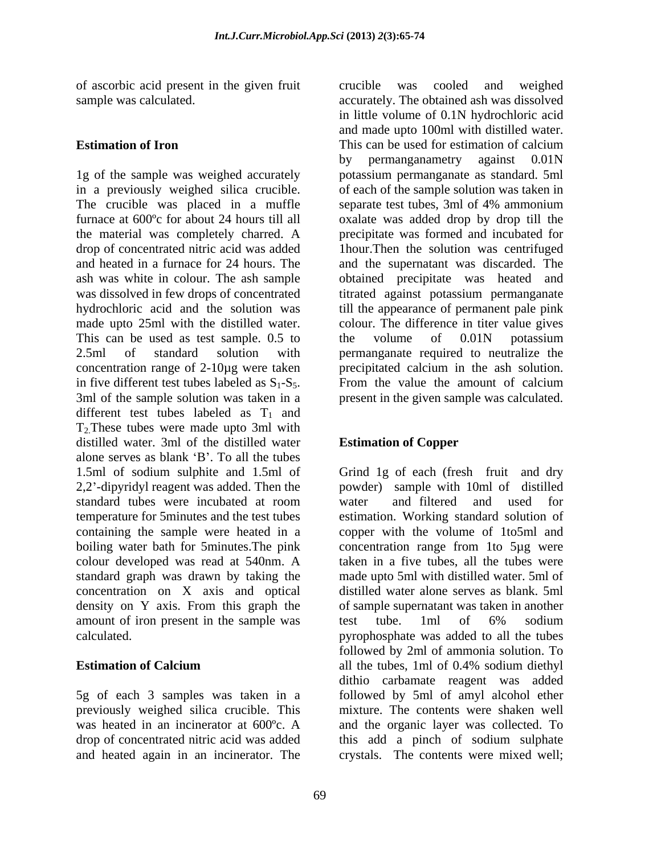of ascorbic acid present in the given fruit

1g of the sample was weighed accurately potassium permanganate asstandard. 5ml in a previously weighed silica crucible. of each of the sample solution was taken in The crucible was placed in a muffle separate test tubes, 3ml of 4% ammonium furnace at 600ºc for about 24 hours till all oxalate was added drop by drop till the the material was completely charred. A precipitate was formed and incubated for drop of concentrated nitric acid was added 1hour.Then the solution was centrifuged and heated in a furnace for 24 hours. The and the supernatant was discarded. The ash was white in colour. The ash sample obtained precipitate was heated and was dissolved in few drops of concentrated titrated against potassium permanganate hydrochloric acid and the solution was till the appearance of permanent pale pink made upto 25ml with the distilled water. colour. The difference in titer value gives This can be used as test sample. 0.5 to the volume of 0.01N potassium 2.5ml of standard solution with permanganate required to neutralize the concentration range of 2-10µg were taken precipitated calcium in the ash solution. in five different test tubes labeled as  $S_1-S_5$ . 3ml of the sample solution was taken in a spresent in the given sample was calculated. different test tubes labeled as  $T_1$  and T2.These tubes were made upto 3ml with distilled water. 3ml of the distilled water alone serves as blank  $B'$ . To all the tubes 1.5ml of sodium sulphite and 1.5ml of Grind 1g of each (fresh fruit and dry 2,2 -dipyridyl reagent was added. Then the powder) sample with 10ml of distilled standard tubes were incubated at room temperature for 5minutes and the test tubes estimation. Working standard solution of containing the sample were heated in a copper with the volume of 1to5ml and boiling water bath for 5minutes.The pink colour developed was read at 540nm. A standard graph was drawn by taking the concentration on X axis and optical density on Y axis. From this graph the of sample supernatant was taken in another amount of iron present in the sample was test tube. 1ml of 6% sodium calculated. pyrophosphate was added to all the tubes

5g of each 3 samples was taken in a and heated again in an incinerator. The crystals. The contents were mixed well;

sample was calculated. accurately. The obtained ash was dissolved **Estimation of Iron** This can be used for estimation of calcium crucible was cooled and weighed in little volume of 0.1N hydrochloric acid and made upto 100ml with distilled water. This can be used for estimation of calcium by permanganametry against 0.01N the volume of 0.01N potassium From the value the amount of calcium present in the given sample was calculated.

# **Estimation of Copper**

**Estimation of Calcium** all the tubes, 1ml of 0.4% sodium diethyl previously weighed silica crucible. This mixture. The contents were shaken well was heated in an incinerator at 600°c. A and the organic layer was collected. To drop of concentrated nitric acid was added this add a pinch of sodium sulphate water and filtered and used for concentration range from 1to 5µg were taken in a five tubes, all the tubes were made upto 5ml with distilled water. 5ml of distilled water alone serves as blank. 5ml of sample supernatant was taken in another test tube. 1ml of 6% sodium followed by 2ml of ammonia solution. To all the tubes, 1ml of 0.4% sodium diethyl dithio carbamate reagent was added followed by 5ml of amyl alcohol ether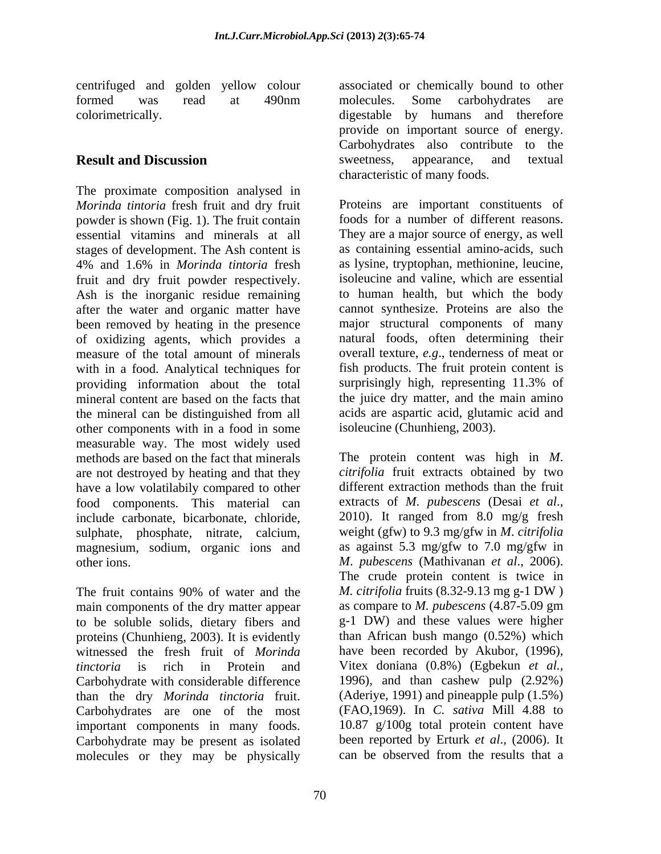The proximate composition analysed in *Morinda tintoria* fresh fruit and dry fruit powder is shown (Fig. 1). The fruit contain essential vitamins and minerals at all stages of development. The Ash content is 4% and 1.6% in *Morinda tintoria* fresh fruit and dry fruit powder respectively. Ash is the inorganic residue remaining after the water and organic matter have been removed by heating in the presence of oxidizing agents, which provides a measure of the total amount of minerals with in a food. Analytical techniques for fish products. The fruit protein content is providing information about the total surprisingly high, representing 11.3% of mineral content are based on the facts that the mineral can be distinguished from all other components with in a food in some measurable way. The most widely used methods are based on the fact that minerals The protein content was high in *M*. are not destroyed by heating and that they have a low volatilabily compared to other food components. This material can extracts of *M*. *pubescens* (Desai *et al*., include carbonate, bicarbonate, chloride, sulphate, phosphate, nitrate, calcium, magnesium, sodium, organic ions and

The fruit contains 90% of water and the M. citrifolia fruits (8.32-9.13 mg g-1 DW) main components of the dry matter appear as compare to *M. pubescens* (4.87-5.09 gm to be soluble solids, dietary fibers and proteins (Chunhieng, 2003). It is evidently witnessed the fresh fruit of *Morinda* have been recorded by Akubor, (1996), *tinctoria* is rich in Protein and Vitex doniana (0.8%) (Egbekun *et al.*, Carbohydrate with considerable difference than the dry *Morinda tinctoria* fruit. (Aderiye, 1991) and pineapple pulp (1.5%)<br>Carbohydrates are one of the most (FAO,1969). In *C. sativa* Mill 4.88 to important components in many foods. Carbohydrate may be present as isolated been reported by Erturk *et al.*, (2006). It molecules or they may be physically can be observed from the results that a molecules or they may be physically

centrifuged and golden yellow colour associated or chemically bound to other formed was read at 490nm molecules. Some carbohydrates are colorimetrically. digestable by humans and therefore **Result and Discussion** Sweetness, appearance, and textual molecules. Some carbohydrates are provide on important source of energy. Carbohydrates also contribute to the sweetness, appearance, and textual characteristic of many foods.

> Proteins are important constituents of foods for a number of different reasons. They are a major source of energy, as well as containing essential amino-acids, such as lysine, tryptophan, methionine, leucine, isoleucine and valine, which are essential to human health, but which the body cannot synthesize. Proteins are also the major structural components of many natural foods, often determining their overall texture, *e.g*., tenderness of meat or surprisingly high, representing 11.3% of the juice dry matter, and the main amino acids are aspartic acid, glutamic acid and isoleucine (Chunhieng, 2003).

other ions. M. pubescens (Mathivanan et al., 2006).<br>The crude protein content is twice in *citrifolia* fruit extracts obtained by two different extraction methods than the fruit 2010). It ranged from 8.0 mg/g fresh weight (gfw) to 9.3 mg/gfw in *M*. *citrifolia*  as against 5.3 mg/gfw to 7.0 mg/gfw in *<sup>M</sup>*. *pubescens* (Mathivanan *et al*., 2006). The crude protein content is twice in *M. citrifolia* fruits (8.32-9.13 mg g-1 DW ) as compare to *M. pubescens* (4.87-5.09 gm g-1 DW) and these values were higher than African bush mango (0.52%) which have been recorded by Akubor, (1996), Vitex doniana (0.8%) (Egbekun *et al.,* 1996), and than cashew pulp (2.92%) (Aderiye, 1991) and pineapple pulp (1.5%) (FAO,1969). In *C. sativa* Mill 4.88 to 10.87 g/100g total protein content have been reported by Erturk *et al*., (2006). It can be observed from the results that a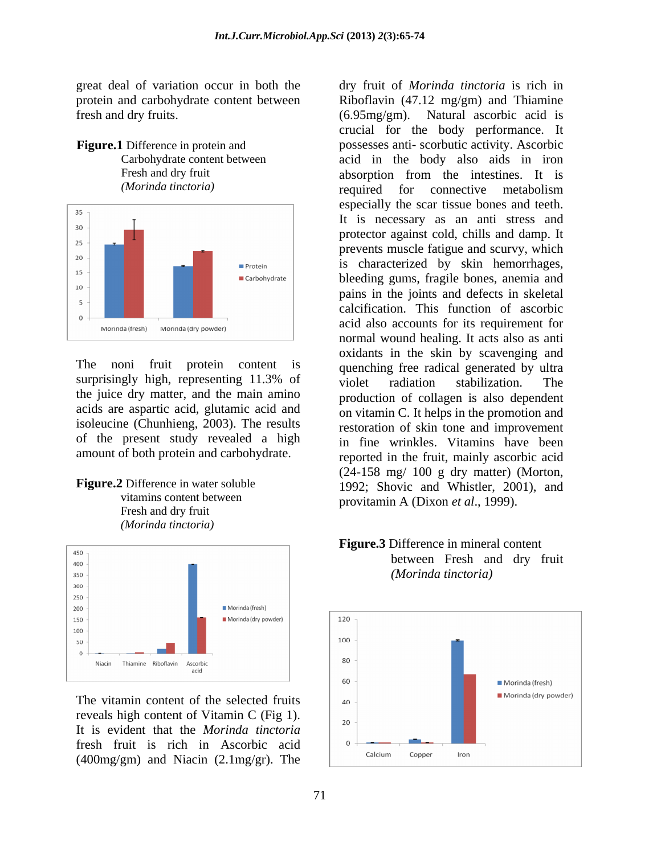great deal of variation occur in both the fresh and dry fruits. (6.95mg/gm). Natural ascorbic acid is





surprisingly high, representing 11.3% of violet radiation stabilization. The the juice dry matter, and the main amino acids are aspartic acid, glutamic acid and isoleucine (Chunhieng, 2003). The results of the present study revealed a high amount of both protein and carbohydrate.

 Fresh and dry fruit *(Morinda tinctoria)*



reveals high content of Vitamin C (Fig 1).  $\Big|_{20}$ It is evident that the *Morinda tinctoria* fresh fruit is rich in Ascorbic acid (400mg/gm) and Niacin (2.1mg/gr). The

protein and carbohydrate content between Riboflavin (47.12 mg/gm) and Thiamine **Figure.1** Difference in protein and possesses anti-scorbutic activity. Ascorbic Carbohydrate content between acid in the body also aids in iron Fresh and dry fruit absorption from the intestines. It is *(Morinda tinctoria)* The noni fruit protein content is quenching free radical generated by ultra **Figure.2** Difference in water soluble 1992; Shovic and Whistler, 2001), and vitamins content between provitamin A (Dixon *et al.*, 1999). dry fruit of *Morinda tinctoria* is rich in (6.95mg/gm). Natural ascorbic acid is crucial for the body performance. It absorption from the intestines. It is required for connective metabolism especially the scar tissue bones and teeth. It is necessary as an anti stress and protector against cold, chills and damp. It prevents muscle fatigue and scurvy, which is characterized by skin hemorrhages, bleeding gums, fragile bones, anemia and pains in the joints and defects in skeletal calcification. This function of ascorbic acid also accounts for its requirement for normal wound healing. It acts also as anti oxidants in the skin by scavenging and violet radiation stabilization. The production of collagen is also dependent on vitamin C. It helps in the promotion and restoration of skin tone and improvement in fine wrinkles. Vitamins have been reported in the fruit, mainly ascorbic acid (24-158 mg/ 100 g dry matter) (Morton,



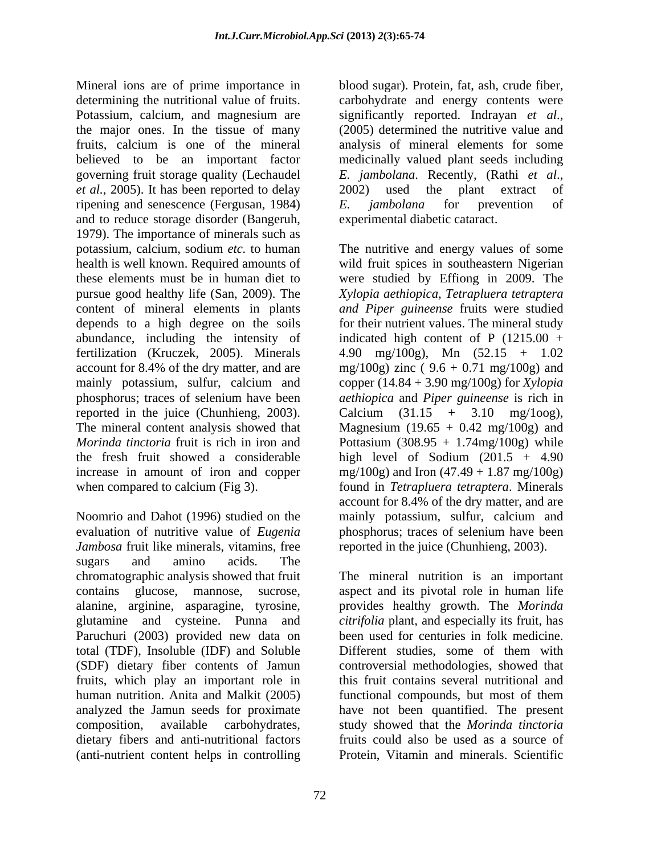Mineral ions are of prime importance in determining the nutritional value of fruits. carbohydrate and energy contents were Potassium, calcium, and magnesium are significantly reported. Indrayan et al., the major ones. In the tissue of many (2005) determined the nutritive value and fruits, calcium is one of the mineral believed to be an important factor governing fruit storage quality (Lechaudel E. jambolana. Recently, (Rathi et al., *et al.*, 2005). It has been reported to delay ripening and senescence (Fergusan, 1984) E. *jambolana* for prevention of and to reduce storage disorder (Bangeruh, 1979). The importance of minerals such as potassium, calcium, sodium *etc.* to human The nutritive and energy values of some health is well known. Required amounts of wild fruit spices in southeastern Nigerian these elements must be in human diet to were studied by Effiong in 2009. The pursue good healthy life (San, 2009). The *Xylopia aethiopica, Tetrapluera tetraptera* content of mineral elements in plants *and Piper guineense* fruits were studied depends to a high degree on the soils for their nutrient values. The mineral study abundance, including the intensity of indicated high content of P (1215.00 + fertilization (Kruczek, 2005). Minerals account for 8.4% of the dry matter, and are  $mg/100g$  zinc (9.6 + 0.71 mg/100g) and mainly potassium, sulfur, calcium and<br>phosphorus; traces of selenium have been phosphorus; traces of selenium have been *aethiopica* and *Piper guineense* is rich in reported in the juice (Chunhieng, 2003). The mineral content analysis showed that Magnesium  $(19.65 + 0.42 \text{ mg}/100 \text{g})$  and *Morinda tinctoria* fruit is rich in iron and Pottasium (308.95 + 1.74mg/100g) while the fresh fruit showed a considerable  $\mu$  high level of Sodium (201.5 + 4.90) increase in amount of iron and copper mg/100g) and Iron (47.49 + 1.87 mg/100g) when compared to calcium (Fig 3). found in *Tetrapluera tetraptera*. Minerals

Noomrio and Dahot (1996) studied on the mainly potassium, sulfur, calcium and evaluation of nutritive value of *Eugenia* phosphorus; traces of selenium have been *Jambosa* fruit like minerals, vitamins, free reported in the juice (Chunhieng, 2003). sugars and amino acids. The chromatographic analysis showed that fruit The mineral nutrition is an important contains glucose, mannose, sucrose, aspect and its pivotal role in human life alanine, arginine, asparagine, tyrosine, glutamine and cysteine. Punna and Paruchuri (2003) provided new data on total (TDF), Insoluble (IDF) and Soluble Different studies, some of them with (SDF) dietary fiber contents of Jamun fruits, which play an important role in human nutrition. Anita and Malkit (2005) functional compounds, but most of them analyzed the Jamun seeds for proximate have not been quantified. The present composition, available carbohydrates, study showed that the *Morinda tinctoria* dietary fibers and anti-nutritional factors (anti-nutrient content helps in controlling

72

blood sugar). Protein, fat, ash, crude fiber, significantly reported. Indrayan *et al*., (2005) determined the nutritive value and analysis of mineral elements for some medicinally valued plant seeds including *E. jambolana*. Recently, (Rathi *et al*., 2002) used the plant extract of *E. jambolana* for prevention of experimental diabetic cataract.

4.90 mg/100g), Mn  $(52.15 + 1.02)$ copper (14.84 + 3.90 mg/100g) for *Xylopia*  Calcium  $(31.15 + 3.10 \text{ mg}/100 \text{g})$ , high level of Sodium (201.5 + 4.90 account for 8.4% of the dry matter, and are mainly potassium, sulfur, calcium and

provides healthy growth. The *Morinda citrifolia* plant, and especially its fruit, has been used for centuries in folk medicine. controversial methodologies, showed that this fruit contains several nutritional and functional compounds, but most of them fruits could also be used as a source of Protein, Vitamin and minerals. Scientific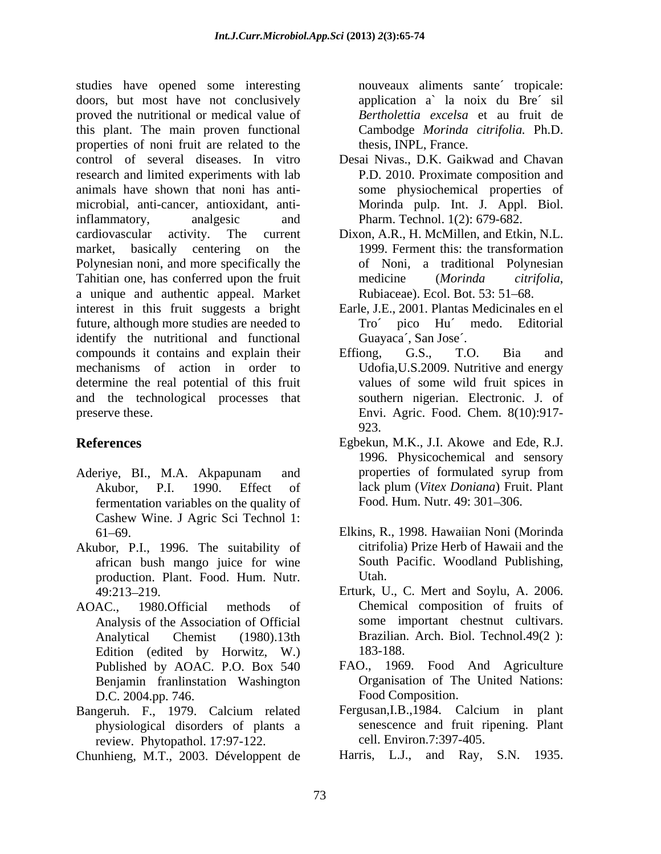studies have opened some interesting nouveaux aliments sante´ tropicale: doors, but most have not conclusively proved the nutritional or medical value of this plant. The main proven functional properties of noni fruit are related to the control of several diseases. In vitro research and limited experiments with lab animals have shown that noni has anti microbial, anti-cancer, antioxidant, antiinflammatory, analgesic and Pharm. Technol. 1(2): 679-682. cardiovascular activity. The current Dixon, A.R., H. McMillen, and Etkin, N.L. market, basically centering on the Polynesian noni, and more specifically the Tahitian one, has conferred upon the fruit medicine (Morinda citrifolia, a unique and authentic appeal. Market interest in this fruit suggests a bright Earle, J.E., 2001. Plantas Medicinales en el future, although more studies are needed to identify the nutritional and functional compounds it contains and explain their Effiong, G.S., T.O. Bia and mechanisms of action in order to Udofia,U.S.2009. Nutritive and energy determine the real potential of this fruit and the technological processes that preserve these. Envi. Agric. Food. Chem. 8(10):917-

- fermentation variables on the quality of Cashew Wine. J Agric Sci Technol 1:
- Akubor, P.I., 1996. The suitability of african bush mango juice for wine production. Plant. Food. Hum. Nutr.
- AOAC., 1980.Official methods of Chemical composition of fruits of Edition (edited by Horwitz, W.) 183-188. Benjamin franlinstation Washington D.C. 2004.pp. 746.
- Bangeruh. F., 1979. Calcium related physiological disorders of plants a review. Phytopathol. 17:97-122.
- Chunhieng, M.T., 2003. Développent de

application a` la noix du Bre´ sil *Bertholettia excelsa* et au fruit de Cambodge *Morinda citrifolia.* Ph.D. thesis, INPL, France.

- Desai Nivas., D.K. Gaikwad and Chavan P.D. 2010. Proximate composition and some physiochemical properties of Morinda pulp. Int. J. Appl. Biol. Pharm. Technol. 1(2): 679-682.
- 1999. Ferment this: the transformation of Noni, a traditional Polynesian medicine (*Morinda citrifolia*,<br>Rubiaceae). Ecol. Bot. 53: 51–68.
- Tro´ pico Hu´ medo. Editorial Guayaca´, San Jose´.
- Effiong, G.S., T.O. Bia and values of some wild fruit spices in southern nigerian. Electronic. J. of 923.
- **References** Egbekun, M.K., J.I. Akowe and Ede, R.J. 1996. Physicochemical and sensory Aderiye, BI., M.A. Akpapunam and Akubor, P.I. 1990. Effect of lack plum (Vitex Doniana) Fruit. Plant Egbekun, M.K., J.I. Akowe and Ede, R.J. 1996. Physicochemical and sensory properties of formulated syrup from lack plum (*Vitex Doniana*) Fruit. Plant Food. Hum. Nutr. 49: 301-306.
	- 61 69. Elkins, R., 1998. Hawaiian Noni (Morinda citrifolia) Prize Herb of Hawaii and the South Pacific. Woodland Publishing, Utah.
	- 49:213 219. Erturk, U., C. Mert and Soylu, A. 2006. Analysis of the Association of Official some important chestnut cultivars. Analytical Chemist (1980).13th Brazilian. Arch. Biol. Technol.49(2 ): 183-188.
	- Published by AOAC. P.O. Box 540 FAO., 1969. Food And Agriculture Organisation of The United Nations: Food Composition.
		- Fergusan,I.B.,1984. Calcium in plant senescence and fruit ripening. Plant cell. Environ.7:397-405.
		- Harris, L.J., and Ray, S.N. 1935.